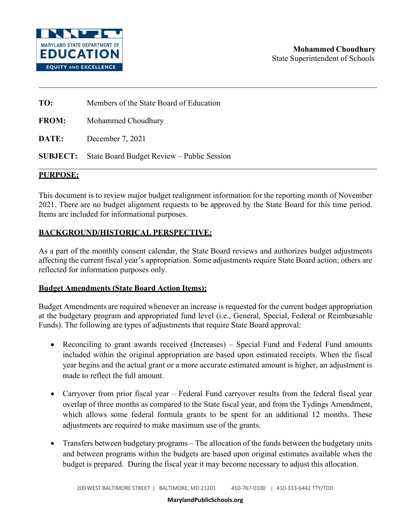

**TO:** Members of the State Board of Education

**FROM:** Mohammed Choudhury

**DATE:** December 7, 2021

**SUBJECT:** State Board Budget Review – Public Session

# **PURPOSE:**

This document is to review major budget realignment information for the reporting month of November 2021. There are no budget alignment requests to be approved by the State Board for this time period. Items are included for informational purposes.

# **BACKGROUND/HISTORICAL PERSPECTIVE:**

As a part of the monthly consent calendar, the State Board reviews and authorizes budget adjustments affecting the current fiscal year's appropriation. Some adjustments require State Board action; others are reflected for information purposes only.

# **Budget Amendments (State Board Action Items):**

Budget Amendments are required whenever an increase is requested for the current budget appropriation at the budgetary program and appropriated fund level (i.e., General, Special, Federal or Reimbursable Funds). The following are types of adjustments that require State Board approval:

- Reconciling to grant awards received (Increases) Special Fund and Federal Fund amounts included within the original appropriation are based upon estimated receipts. When the fiscal year begins and the actual grant or a more accurate estimated amount is higher, an adjustment is made to reflect the full amount.
- Carryover from prior fiscal year Federal Fund carryover results from the federal fiscal year overlap of three months as compared to the State fiscal year, and from the Tydings Amendment, which allows some federal formula grants to be spent for an additional 12 months. These adjustments are required to make maximum use of the grants.
- Transfers between budgetary programs The allocation of the funds between the budgetary units and between programs within the budgets are based upon original estimates available when the budget is prepared. During the fiscal year it may become necessary to adjust this allocation.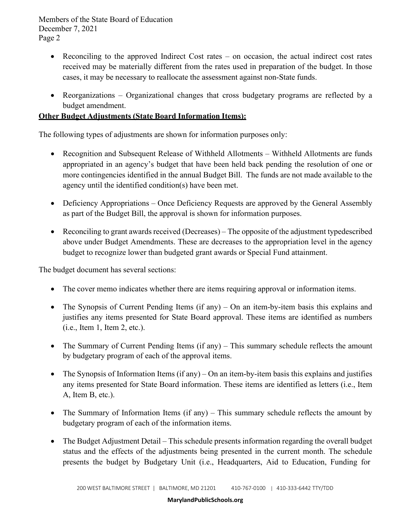Members of the State Board of Education December 7, 2021 Page 2

- Reconciling to the approved Indirect Cost rates on occasion, the actual indirect cost rates received may be materially different from the rates used in preparation of the budget. In those cases, it may be necessary to reallocate the assessment against non-State funds.
- Reorganizations Organizational changes that cross budgetary programs are reflected by a budget amendment.

# **Other Budget Adjustments (State Board Information Items):**

The following types of adjustments are shown for information purposes only:

- Recognition and Subsequent Release of Withheld Allotments Withheld Allotments are funds appropriated in an agency's budget that have been held back pending the resolution of one or more contingencies identified in the annual Budget Bill. The funds are not made available to the agency until the identified condition(s) have been met.
- Deficiency Appropriations Once Deficiency Requests are approved by the General Assembly as part of the Budget Bill, the approval is shown for information purposes.
- Reconciling to grant awards received (Decreases) The opposite of the adjustment typedescribed above under Budget Amendments. These are decreases to the appropriation level in the agency budget to recognize lower than budgeted grant awards or Special Fund attainment.

The budget document has several sections:

- The cover memo indicates whether there are items requiring approval or information items.
- The Synopsis of Current Pending Items (if any) On an item-by-item basis this explains and justifies any items presented for State Board approval. These items are identified as numbers (i.e., Item 1, Item 2, etc.).
- The Summary of Current Pending Items (if any) This summary schedule reflects the amount by budgetary program of each of the approval items.
- The Synopsis of Information Items (if any) On an item-by-item basis this explains and justifies any items presented for State Board information. These items are identified as letters (i.e., Item A, Item B, etc.).
- The Summary of Information Items (if any) This summary schedule reflects the amount by budgetary program of each of the information items.
- The Budget Adjustment Detail This schedule presents information regarding the overall budget status and the effects of the adjustments being presented in the current month. The schedule presents the budget by Budgetary Unit (i.e., Headquarters, Aid to Education, Funding for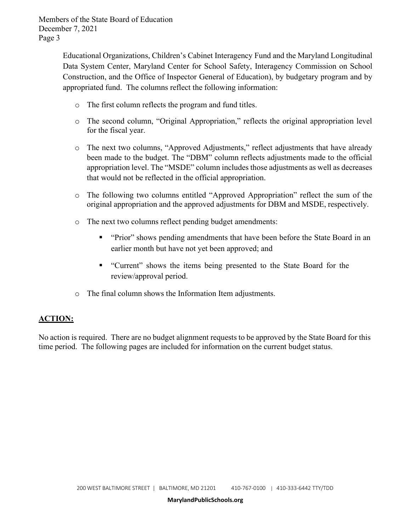Members of the State Board of Education December 7, 2021 Page 3

> Educational Organizations, Children's Cabinet Interagency Fund and the Maryland Longitudinal Data System Center, Maryland Center for School Safety, Interagency Commission on School Construction, and the Office of Inspector General of Education), by budgetary program and by appropriated fund. The columns reflect the following information:

- o The first column reflects the program and fund titles.
- o The second column, "Original Appropriation," reflects the original appropriation level for the fiscal year.
- o The next two columns, "Approved Adjustments," reflect adjustments that have already been made to the budget. The "DBM" column reflects adjustments made to the official appropriation level. The "MSDE" column includes those adjustments as well as decreases that would not be reflected in the official appropriation.
- o The following two columns entitled "Approved Appropriation" reflect the sum of the original appropriation and the approved adjustments for DBM and MSDE, respectively.
- o The next two columns reflect pending budget amendments:
	- **•** "Prior" shows pending amendments that have been before the State Board in an earlier month but have not yet been approved; and
	- "Current" shows the items being presented to the State Board for the review/approval period.
- o The final column shows the Information Item adjustments.

# **ACTION:**

No action is required. There are no budget alignment requests to be approved by the State Board for this time period. The following pages are included for information on the current budget status.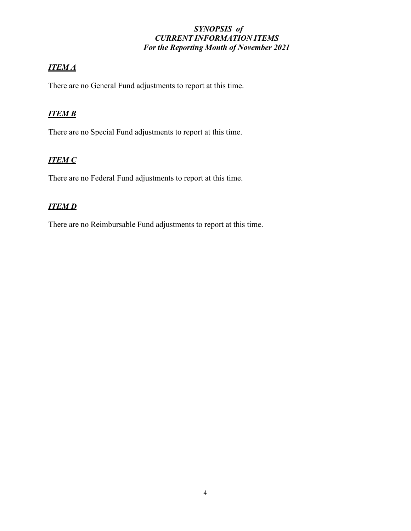# *SYNOPSIS of CURRENT INFORMATION ITEMS For the Reporting Month of November 2021*

# *ITEM A*

There are no General Fund adjustments to report at this time.

# *ITEM B*

There are no Special Fund adjustments to report at this time.

# *ITEM C*

There are no Federal Fund adjustments to report at this time.

# *ITEM D*

There are no Reimbursable Fund adjustments to report at this time.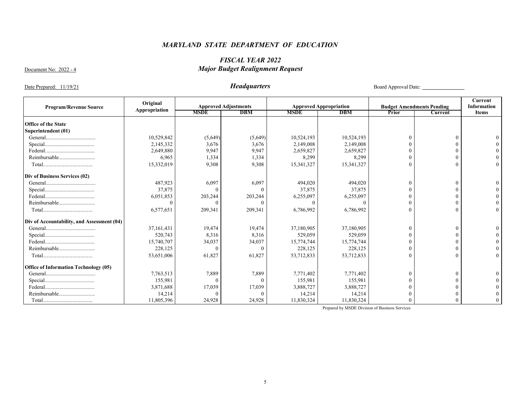# *FISCAL YEAR 2022*  Document No: 2022 - 4 *Major Budget Realignment Request*

Date Prepared: 11/19/21 *Headquarters* Board Approval Date:

| <b>Program/Revenue Source</b>                | Original      |             | <b>Approved Adjustments</b> |             | <b>Approved Appropriation</b> |          | <b>Budget Amendments Pending</b> | Current<br>Information |
|----------------------------------------------|---------------|-------------|-----------------------------|-------------|-------------------------------|----------|----------------------------------|------------------------|
|                                              | Appropriation | <b>MSDE</b> | <b>DBM</b>                  | <b>MSDE</b> | <b>DBM</b>                    | Prior    | Current                          | <b>Items</b>           |
| <b>Office of the State</b>                   |               |             |                             |             |                               |          |                                  |                        |
| Superintendent (01)                          |               |             |                             |             |                               |          |                                  |                        |
|                                              | 10,529,842    | (5,649)     | (5,649)                     | 10,524,193  | 10,524,193                    |          | $\epsilon$                       |                        |
|                                              | 2,145,332     | 3,676       | 3,676                       | 2,149,008   | 2,149,008                     |          |                                  |                        |
|                                              | 2,649,880     | 9,947       | 9,947                       | 2,659,827   | 2,659,827                     |          |                                  |                        |
| Reimbursable                                 | 6,965         | 1,334       | 1,334                       | 8,299       | 8,299                         |          |                                  |                        |
|                                              |               | 9,308       | 9,308                       |             | 15,341,327                    | $\Omega$ |                                  |                        |
|                                              | 15,332,019    |             |                             | 15,341,327  |                               |          |                                  |                        |
| Div of Business Services (02)                |               |             |                             |             |                               |          |                                  |                        |
|                                              | 487,923       | 6,097       | 6,097                       | 494,020     | 494,020                       |          | $\theta$                         |                        |
|                                              | 37,875        | $\Omega$    |                             | 37,875      | 37,875                        |          |                                  |                        |
|                                              | 6,051,853     | 203,244     | 203,244                     | 6,255,097   | 6,255,097                     |          |                                  |                        |
| Reimbursable                                 |               | $\Omega$    | $\Omega$                    | $\Omega$    |                               |          |                                  |                        |
|                                              | 6,577,651     | 209,341     | 209,341                     | 6,786,992   | 6,786,992                     | $\Omega$ | 0                                |                        |
| Div of Accountability, and Assessment (04)   |               |             |                             |             |                               |          |                                  |                        |
|                                              | 37,161,431    | 19,474      | 19,474                      | 37,180,905  | 37,180,905                    |          | $\sqrt{ }$                       |                        |
|                                              | 520,743       | 8,316       | 8,316                       | 529,059     | 529,059                       |          |                                  |                        |
|                                              | 15,740,707    | 34,037      | 34,037                      | 15,774,744  | 15,774,744                    |          |                                  |                        |
| Reimbursable                                 | 228,125       | $\Omega$    | $\Omega$                    | 228,125     | 228,125                       |          |                                  |                        |
|                                              | 53,651,006    | 61,827      | 61,827                      | 53,712,833  | 53,712,833                    | $\Omega$ | $\sqrt{ }$                       |                        |
| <b>Office of Information Technology (05)</b> |               |             |                             |             |                               |          |                                  |                        |
|                                              | 7,763,513     | 7,889       | 7,889                       | 7,771,402   | 7,771,402                     |          | $\sqrt{ }$                       |                        |
|                                              | 155,981       | $\Omega$    | $\theta$                    | 155,981     | 155,981                       |          |                                  |                        |
|                                              | 3,871,688     | 17,039      | 17,039                      | 3,888,727   | 3,888,727                     |          |                                  |                        |
| Reimbursable                                 | 14,214        | $\Omega$    | $\Omega$                    | 14,214      | 14,214                        |          |                                  |                        |
|                                              | 11,805,396    | 24,928      | 24,928                      | 11,830,324  | 11,830,324                    |          |                                  |                        |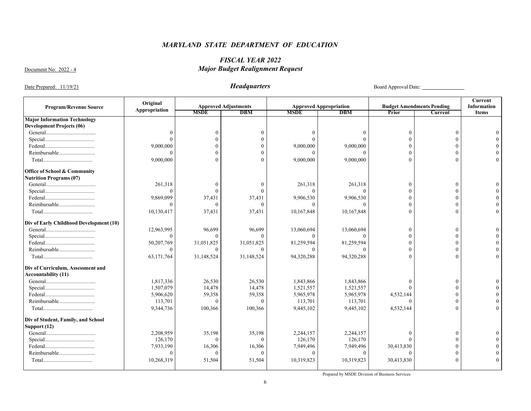# *FISCAL YEAR 2022*  Document No: 2022 - 4 *Major Budget Realignment Request*

Date Prepared: 11/19/21 *Headquarters* Board Approval Date:

|                                                                         | Original      |             |                             |             |                               |            |                                  | Current            |
|-------------------------------------------------------------------------|---------------|-------------|-----------------------------|-------------|-------------------------------|------------|----------------------------------|--------------------|
| <b>Program/Revenue Source</b>                                           | Appropriation |             | <b>Approved Adjustments</b> |             | <b>Approved Appropriation</b> |            | <b>Budget Amendments Pending</b> | <b>Information</b> |
|                                                                         |               | <b>MSDE</b> | <b>DBM</b>                  | <b>MSDE</b> | <b>DBM</b>                    | Prior      | <b>Current</b>                   | <b>Items</b>       |
| <b>Major Information Technology</b><br><b>Development Projects (06)</b> |               |             |                             |             |                               |            |                                  |                    |
|                                                                         |               |             |                             |             |                               |            | $\Omega$                         |                    |
|                                                                         |               |             |                             |             |                               |            |                                  |                    |
|                                                                         |               |             |                             |             |                               |            |                                  |                    |
|                                                                         | 9,000,000     |             |                             | 9,000,000   | 9,000,000                     |            | $\Omega$                         |                    |
| Reimbursable                                                            |               |             |                             |             |                               |            |                                  |                    |
|                                                                         | 9,000,000     |             |                             | 9,000,000   | 9,000,000                     |            | $\Omega$                         |                    |
| <b>Office of School &amp; Community</b>                                 |               |             |                             |             |                               |            |                                  |                    |
| <b>Nutrition Programs (07)</b>                                          |               |             |                             |             |                               |            |                                  |                    |
|                                                                         | 261,318       | $\sqrt{ }$  |                             | 261,318     | 261,318                       |            | $\Omega$                         |                    |
|                                                                         | $\Omega$      |             |                             | $\Omega$    |                               |            | $\Omega$                         |                    |
|                                                                         | 9,869,099     | 37,431      | 37,431                      | 9,906,530   | 9,906,530                     |            | $\Omega$                         |                    |
|                                                                         |               | $\sqrt{ }$  |                             |             |                               |            |                                  |                    |
|                                                                         | 10,130,417    | 37,431      | 37,431                      | 10,167,848  | 10,167,848                    |            |                                  |                    |
| Div of Early Childhood Development (10)                                 |               |             |                             |             |                               |            |                                  |                    |
|                                                                         | 12,963,995    | 96,699      | 96,699                      | 13,060,694  | 13,060,694                    |            | $\theta$                         |                    |
|                                                                         | $\Omega$      | $\Omega$    |                             |             |                               |            | $\Omega$                         |                    |
|                                                                         | 50,207,769    | 31,051,825  | 31,051,825                  | 81,259,594  | 81,259,594                    |            | $\theta$                         |                    |
| Reimbursable                                                            | $\theta$      | $\Omega$    |                             |             |                               |            | $\theta$                         |                    |
|                                                                         | 63,171,764    | 31,148,524  | 31,148,524                  | 94,320,288  | 94,320,288                    |            | $\Omega$                         | $\Omega$           |
| Div of Curriculum, Assessment and                                       |               |             |                             |             |                               |            |                                  |                    |
| <b>Accountability (11)</b>                                              |               |             |                             |             |                               |            |                                  |                    |
|                                                                         | 1,817,336     | 26,530      | 26,530                      | 1,843,866   | 1,843,866                     |            | $\theta$                         |                    |
|                                                                         | 1,507,079     | 14,478      | 14,478                      | 1,521,557   | 1,521,557                     |            | $\Omega$                         |                    |
|                                                                         | 5,906,620     | 59,358      | 59,358                      | 5,965,978   | 5,965,978                     | 4,532,144  | $\Omega$                         |                    |
| Reimbursable                                                            | 113,701       | $\theta$    | $\theta$                    | 113,701     | 113,701                       | $\Omega$   | $\theta$                         |                    |
|                                                                         | 9,344,736     | 100,366     | 100,366                     | 9,445,102   | 9,445,102                     | 4,532,144  | $\Omega$                         |                    |
| Div of Student, Family, and School                                      |               |             |                             |             |                               |            |                                  |                    |
| Support (12)                                                            |               |             |                             |             |                               |            |                                  |                    |
|                                                                         | 2,208,959     | 35,198      | 35,198                      | 2,244,157   | 2,244,157                     |            | $\theta$                         |                    |
|                                                                         | 126,170       | $\Omega$    | $\Omega$                    | 126,170     | 126,170                       |            |                                  |                    |
|                                                                         | 7,933,190     | 16,306      | 16,306                      | 7,949,496   | 7,949,496                     | 30,413,830 | $\Omega$                         |                    |
| Reimbursable                                                            | $\Omega$      | $\Omega$    | $\Omega$                    |             |                               |            | $\Omega$                         |                    |
|                                                                         | 10,268,319    | 51,504      | 51,504                      | 10,319,823  | 10,319,823                    | 30,413,830 | $\Omega$                         |                    |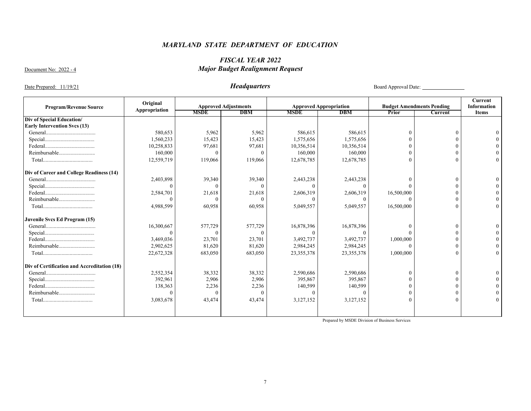# *FISCAL YEAR 2022*  Document No: 2022 - 4 *Major Budget Realignment Request*

# Date Prepared: 11/19/21 *Headquarters* Board Approval Date:

|                                             | Original      |             |                             |             |                               |            |                                  | Current            |
|---------------------------------------------|---------------|-------------|-----------------------------|-------------|-------------------------------|------------|----------------------------------|--------------------|
| <b>Program/Revenue Source</b>               | Appropriation |             | <b>Approved Adjustments</b> |             | <b>Approved Appropriation</b> |            | <b>Budget Amendments Pending</b> | <b>Information</b> |
|                                             |               | <b>MSDE</b> | <b>DBM</b>                  | <b>MSDE</b> | <b>DBM</b>                    | Prior      | <b>Current</b>                   | <b>Items</b>       |
| Div of Special Education/                   |               |             |                             |             |                               |            |                                  |                    |
| <b>Early Intervention Svcs (13)</b>         |               |             |                             |             |                               |            |                                  |                    |
|                                             | 580,653       | 5,962       | 5,962                       | 586,615     | 586,615                       |            |                                  |                    |
|                                             | 1,560,233     | 15,423      | 15,423                      | 1,575,656   | 1,575,656                     |            |                                  |                    |
|                                             | 10,258,833    | 97,681      | 97,681                      | 10,356,514  | 10,356,514                    |            |                                  |                    |
|                                             | 160,000       |             |                             | 160,000     | 160,000                       |            | $\Omega$                         |                    |
|                                             | 12,559,719    | 119,066     | 119,066                     | 12,678,785  | 12,678,785                    |            |                                  |                    |
| Div of Career and College Readiness (14)    |               |             |                             |             |                               |            |                                  |                    |
|                                             | 2,403,898     | 39,340      | 39,340                      | 2,443,238   | 2,443,238                     |            | $\Omega$                         |                    |
|                                             |               |             |                             |             |                               |            |                                  |                    |
|                                             | 2,584,701     | 21,618      | 21,618                      | 2,606,319   | 2,606,319                     | 16,500,000 | $\Omega$                         |                    |
| Reimbursable                                |               |             |                             |             |                               |            | $\Omega$                         |                    |
|                                             | 4,988,599     | 60,958      | 60,958                      | 5,049,557   | 5,049,557                     | 16,500,000 | $\Omega$                         | $\Omega$           |
| Juvenile Svcs Ed Program (15)               |               |             |                             |             |                               |            |                                  |                    |
|                                             | 16,300,667    | 577,729     | 577,729                     | 16,878,396  | 16,878,396                    |            | $\Omega$                         |                    |
|                                             |               |             |                             |             |                               |            |                                  |                    |
|                                             | 3,469,036     | 23,701      | 23,701                      | 3,492,737   | 3,492,737                     | 1,000,000  | $\Omega$                         |                    |
| Reimbursable                                | 2,902,625     | 81,620      | 81,620                      | 2,984,245   | 2,984,245                     |            | $\Omega$                         |                    |
|                                             | 22,672,328    | 683,050     | 683,050                     | 23,355,378  | 23,355,378                    | 1,000,000  |                                  | $\Omega$           |
| Div of Certification and Accreditation (18) |               |             |                             |             |                               |            |                                  |                    |
|                                             | 2,552,354     | 38,332      | 38,332                      | 2,590,686   | 2,590,686                     |            | $\Omega$                         |                    |
|                                             | 392,961       | 2,906       | 2,906                       | 395,867     | 395,867                       |            |                                  |                    |
|                                             | 138,363       | 2,236       | 2,236                       | 140,599     | 140,599                       |            |                                  |                    |
|                                             |               |             |                             |             |                               |            | $\Omega$                         |                    |
|                                             | 3,083,678     | 43,474      | 43,474                      | 3,127,152   | 3,127,152                     |            | $\Omega$                         |                    |
|                                             |               |             |                             |             |                               |            |                                  |                    |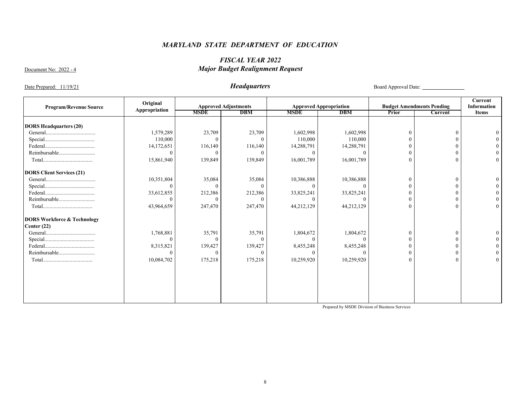# *FISCAL YEAR 2022*  Document No: 2022 - 4 *Major Budget Realignment Request*

Date Prepared: 11/19/21 *Headquarters* Board Approval Date:

| <b>Program/Revenue Source</b>          | Original      | <b>Approved Adjustments</b> |            |             | <b>Approved Appropriation</b> |       | <b>Budget Amendments Pending</b> | <b>Current</b><br><b>Information</b> |
|----------------------------------------|---------------|-----------------------------|------------|-------------|-------------------------------|-------|----------------------------------|--------------------------------------|
|                                        | Appropriation | <b>MSDE</b>                 | <b>DBM</b> | <b>MSDE</b> | <b>DBM</b>                    | Prior | Current                          | <b>Items</b>                         |
| <b>DORS Headquarters (20)</b>          |               |                             |            |             |                               |       |                                  |                                      |
|                                        | 1,579,289     | 23,709                      | 23,709     | 1,602,998   | 1,602,998                     |       | $\theta$                         |                                      |
|                                        | 110,000       |                             |            | 110,000     | 110,000                       |       | $\Omega$                         |                                      |
|                                        | 14,172,651    | 116,140                     | 116,140    | 14,288,791  | 14,288,791                    |       | 0                                |                                      |
| Reimbursable                           | $\Omega$      |                             |            |             |                               |       | $\Omega$                         |                                      |
|                                        | 15,861,940    | 139,849                     | 139,849    | 16,001,789  | 16,001,789                    |       | $\Omega$                         | $\overline{0}$                       |
| <b>DORS Client Services (21)</b>       |               |                             |            |             |                               |       |                                  |                                      |
|                                        | 10,351,804    | 35,084                      | 35,084     | 10,386,888  | 10,386,888                    |       | $\theta$                         |                                      |
|                                        | $\Omega$      |                             |            |             |                               |       | 0                                |                                      |
|                                        | 33,612,855    | 212,386                     | 212,386    | 33,825,241  | 33,825,241                    |       | $\Omega$                         |                                      |
| Reimbursable                           |               |                             |            |             |                               |       | $\Omega$                         |                                      |
|                                        | 43,964,659    | 247,470                     | 247,470    | 44,212,129  | 44,212,129                    |       | $\Omega$                         | $\overline{0}$                       |
| <b>DORS Workforce &amp; Technology</b> |               |                             |            |             |                               |       |                                  |                                      |
| Center $(22)$                          |               |                             |            |             |                               |       |                                  |                                      |
|                                        | 1,768,881     | 35,791                      | 35,791     | 1,804,672   | 1,804,672                     |       | $\theta$                         |                                      |
|                                        | $\Omega$      |                             |            |             |                               |       | $\Omega$                         |                                      |
|                                        | 8,315,821     | 139,427                     | 139,427    | 8,455,248   | 8,455,248                     |       | $\Omega$                         |                                      |
| Reimbursable                           | ∩             |                             |            |             |                               |       | $\Omega$                         |                                      |
|                                        | 10,084,702    | 175,218                     | 175,218    | 10,259,920  | 10,259,920                    |       | $\Omega$                         | $\Omega$                             |
|                                        |               |                             |            |             |                               |       |                                  |                                      |
|                                        |               |                             |            |             |                               |       |                                  |                                      |
|                                        |               |                             |            |             |                               |       |                                  |                                      |
|                                        |               |                             |            |             |                               |       |                                  |                                      |
|                                        |               |                             |            |             |                               |       |                                  |                                      |
|                                        |               |                             |            |             |                               |       |                                  |                                      |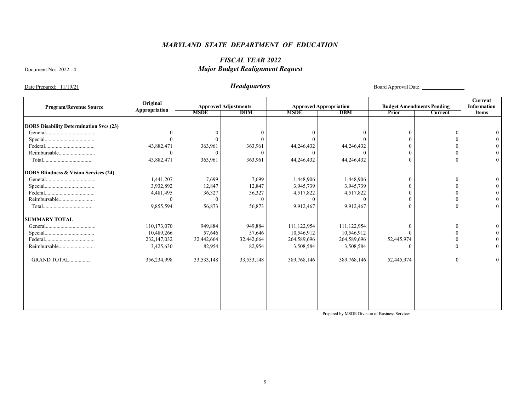# *FISCAL YEAR 2022*  Document No: 2022 - 4 *Major Budget Realignment Request*

Date Prepared: 11/19/21 *Headquarters* Board Approval Date:

|                                                  | Original      |              |                             |             |                               |            |                                  | Current            |
|--------------------------------------------------|---------------|--------------|-----------------------------|-------------|-------------------------------|------------|----------------------------------|--------------------|
| <b>Program/Revenue Source</b>                    | Appropriation |              | <b>Approved Adjustments</b> |             | <b>Approved Appropriation</b> |            | <b>Budget Amendments Pending</b> | <b>Information</b> |
|                                                  |               | <b>MSDE</b>  | <b>DBM</b>                  | <b>MSDE</b> | <b>DBM</b>                    | Prior      | <b>Current</b>                   | <b>Items</b>       |
| <b>DORS Disability Determination Svcs (23)</b>   |               |              |                             |             |                               |            |                                  |                    |
|                                                  | $\theta$      | $\Omega$     | $\Omega$                    |             |                               |            |                                  |                    |
|                                                  | $\Omega$      | $\Omega$     |                             |             |                               |            |                                  |                    |
|                                                  | 43,882,471    | 363,961      | 363,961                     | 44,246,432  | 44,246,432                    |            |                                  |                    |
| Reimbursable                                     | $\theta$      | $\Omega$     | $\theta$                    |             |                               | $\Omega$   |                                  |                    |
|                                                  | 43,882,471    | 363,961      | 363,961                     | 44,246,432  | 44,246,432                    | $\theta$   |                                  |                    |
|                                                  |               |              |                             |             |                               |            |                                  |                    |
| <b>DORS Blindness &amp; Vision Services (24)</b> |               |              |                             |             |                               |            |                                  |                    |
|                                                  | 1,441,207     | 7,699        | 7,699                       | 1,448,906   | 1,448,906                     | $\Omega$   | $\Omega$                         |                    |
|                                                  | 3,932,892     | 12,847       | 12,847                      | 3,945,739   | 3,945,739                     |            |                                  |                    |
|                                                  | 4,481,495     | 36,327       | 36,327                      | 4,517,822   | 4,517,822                     | $\Omega$   |                                  |                    |
| Reimbursable                                     | $\Omega$      | $\Omega$     | $\theta$                    | $\Omega$    |                               |            |                                  |                    |
|                                                  | 9,855,594     | 56,873       | 56,873                      | 9,912,467   | 9,912,467                     | $\Omega$   |                                  | $\Omega$           |
| <b>SUMMARY TOTAL</b>                             |               |              |                             |             |                               |            |                                  |                    |
|                                                  | 110,173,070   | 949,884      | 949,884                     | 111,122,954 | 111,122,954                   |            |                                  |                    |
|                                                  | 10,489,266    | 57,646       | 57,646                      | 10,546,912  | 10,546,912                    |            |                                  |                    |
|                                                  | 232,147,032   | 32,442,664   | 32,442,664                  | 264,589,696 | 264,589,696                   | 52,445,974 |                                  |                    |
| Reimbursable                                     | 3,425,630     | 82,954       | 82,954                      | 3,508,584   | 3,508,584                     |            |                                  |                    |
|                                                  |               |              |                             |             |                               |            |                                  |                    |
| GRAND TOTAL                                      | 356,234,998   | 33, 533, 148 | 33,533,148                  | 389,768,146 | 389,768,146                   | 52,445,974 | £                                |                    |
|                                                  |               |              |                             |             |                               |            |                                  |                    |
|                                                  |               |              |                             |             |                               |            |                                  |                    |
|                                                  |               |              |                             |             |                               |            |                                  |                    |
|                                                  |               |              |                             |             |                               |            |                                  |                    |
|                                                  |               |              |                             |             |                               |            |                                  |                    |
|                                                  |               |              |                             |             |                               |            |                                  |                    |
|                                                  |               |              |                             |             |                               |            |                                  |                    |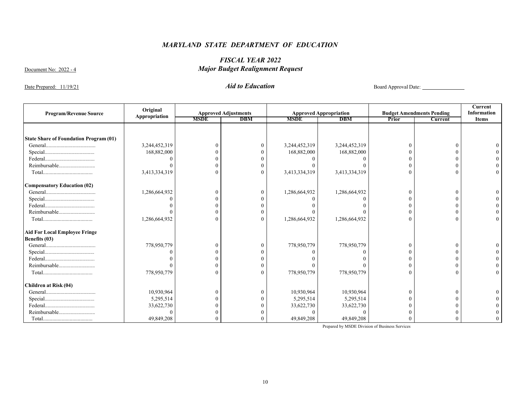# *FISCAL YEAR 2022*  Document No: 2022 - 4 *Major Budget Realignment Request*

Date Prepared: 11/19/21 *Aid to Education* Board Approval Date:

| <b>Program/Revenue Source</b>                 | Original      |             | <b>Approved Adjustments</b> |               | <b>Approved Appropriation</b> |       | <b>Budget Amendments Pending</b> | Current<br><b>Information</b> |
|-----------------------------------------------|---------------|-------------|-----------------------------|---------------|-------------------------------|-------|----------------------------------|-------------------------------|
|                                               | Appropriation | <b>MSDE</b> | <b>DBM</b>                  | <b>MSDE</b>   | <b>DBM</b>                    | Prior | <b>Current</b>                   | <b>Items</b>                  |
|                                               |               |             |                             |               |                               |       |                                  |                               |
|                                               |               |             |                             |               |                               |       |                                  |                               |
| <b>State Share of Foundation Program (01)</b> |               |             |                             |               |                               |       |                                  |                               |
|                                               | 3,244,452,319 | $\Omega$    |                             | 3,244,452,319 | 3,244,452,319                 |       |                                  |                               |
|                                               | 168,882,000   |             |                             | 168,882,000   | 168,882,000                   |       |                                  |                               |
|                                               |               |             |                             |               |                               |       |                                  |                               |
| Reimbursable                                  |               | $\Omega$    |                             |               |                               |       |                                  |                               |
|                                               | 3,413,334,319 | $\Omega$    |                             | 3,413,334,319 | 3,413,334,319                 |       |                                  |                               |
| <b>Compensatory Education (02)</b>            |               |             |                             |               |                               |       |                                  |                               |
|                                               | 1,286,664,932 | $\Omega$    |                             | 1,286,664,932 | 1,286,664,932                 |       |                                  |                               |
|                                               |               | $\Omega$    |                             |               |                               |       |                                  |                               |
|                                               |               | $\Omega$    |                             |               |                               |       |                                  |                               |
|                                               |               | $\Omega$    |                             |               |                               |       |                                  |                               |
|                                               | 1,286,664,932 | $\Omega$    |                             | 1,286,664,932 | 1,286,664,932                 |       |                                  |                               |
| <b>Aid For Local Employee Fringe</b>          |               |             |                             |               |                               |       |                                  |                               |
| Benefits (03)                                 |               |             |                             |               |                               |       |                                  |                               |
|                                               | 778,950,779   | $\Omega$    |                             | 778,950,779   | 778,950,779                   |       |                                  |                               |
|                                               |               |             |                             |               |                               |       |                                  |                               |
|                                               |               | $\Omega$    |                             |               |                               |       |                                  |                               |
| Reimbursable                                  |               | $\Omega$    |                             |               |                               |       |                                  |                               |
|                                               | 778,950,779   | $\Omega$    |                             | 778,950,779   | 778,950,779                   |       |                                  |                               |
| Children at Risk (04)                         |               |             |                             |               |                               |       |                                  |                               |
|                                               | 10,930,964    | $\theta$    |                             | 10,930,964    | 10,930,964                    |       |                                  |                               |
|                                               | 5,295,514     |             |                             | 5,295,514     | 5,295,514                     |       |                                  |                               |
|                                               | 33,622,730    |             |                             | 33,622,730    | 33,622,730                    |       |                                  |                               |
| Reimbursable                                  |               |             |                             |               |                               |       |                                  |                               |
|                                               | 49,849,208    |             |                             | 49,849,208    | 49,849,208                    |       |                                  |                               |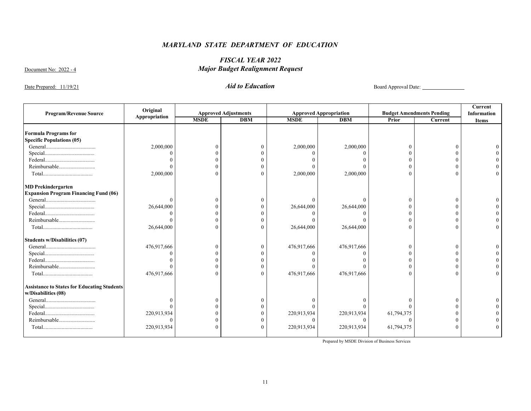# *FISCAL YEAR 2022*  Document No: 2022 - 4 *Major Budget Realignment Request*

Date Prepared: 11/19/21 *Aid to Education* Board Approval Date:

| <b>Program/Revenue Source</b>                      | Original      |             | <b>Approved Adjustments</b> |             | <b>Approved Appropriation</b> |              | <b>Budget Amendments Pending</b> | <b>Current</b><br><b>Information</b> |
|----------------------------------------------------|---------------|-------------|-----------------------------|-------------|-------------------------------|--------------|----------------------------------|--------------------------------------|
|                                                    | Appropriation | <b>MSDE</b> | <b>DBM</b>                  | <b>MSDE</b> | <b>DBM</b>                    | <b>Prior</b> | <b>Current</b>                   | <b>Items</b>                         |
|                                                    |               |             |                             |             |                               |              |                                  |                                      |
| <b>Formula Programs for</b>                        |               |             |                             |             |                               |              |                                  |                                      |
| <b>Specific Populations (05)</b>                   |               |             |                             |             |                               |              |                                  |                                      |
|                                                    | 2,000,000     |             |                             | 2,000,000   | 2,000,000                     |              |                                  |                                      |
|                                                    |               |             |                             |             |                               |              |                                  |                                      |
|                                                    |               |             |                             |             |                               |              |                                  |                                      |
| Reimbursable                                       |               |             |                             |             |                               |              |                                  |                                      |
|                                                    | 2,000,000     | $\Omega$    | $\Omega$                    | 2,000,000   | 2,000,000                     |              |                                  |                                      |
| <b>MD Prekindergarten</b>                          |               |             |                             |             |                               |              |                                  |                                      |
| <b>Expansion Program Financing Fund (06)</b>       |               |             |                             |             |                               |              |                                  |                                      |
|                                                    |               |             |                             |             |                               | 0            | 0                                |                                      |
|                                                    | 26,644,000    |             |                             | 26,644,000  | 26,644,000                    |              |                                  |                                      |
|                                                    |               |             |                             |             |                               |              |                                  |                                      |
| Reimbursable                                       |               | $\Omega$    |                             |             |                               |              |                                  |                                      |
|                                                    | 26,644,000    | $\Omega$    | 0                           | 26,644,000  | 26,644,000                    | $\Omega$     |                                  |                                      |
| <b>Students w/Disabilities (07)</b>                |               |             |                             |             |                               |              |                                  |                                      |
|                                                    | 476,917,666   |             | 0                           | 476,917,666 | 476,917,666                   | 0            |                                  |                                      |
|                                                    |               |             |                             |             |                               |              |                                  |                                      |
|                                                    |               |             |                             |             |                               |              |                                  |                                      |
|                                                    |               | 0           |                             |             |                               |              |                                  |                                      |
|                                                    | 476,917,666   | $\Omega$    | $\theta$                    | 476,917,666 | 476,917,666                   |              |                                  |                                      |
| <b>Assistance to States for Educating Students</b> |               |             |                             |             |                               |              |                                  |                                      |
| w/Disabilities (08)                                |               |             |                             |             |                               |              |                                  |                                      |
|                                                    |               |             |                             |             |                               |              | $\Omega$                         |                                      |
|                                                    |               |             |                             |             |                               |              |                                  |                                      |
|                                                    | 220,913,934   |             |                             | 220,913,934 | 220,913,934                   | 61,794,375   |                                  |                                      |
| Reimbursable                                       |               |             |                             | $\Omega$    | $\Omega$                      |              |                                  |                                      |
|                                                    | 220,913,934   |             | 0                           | 220,913,934 | 220,913,934                   | 61,794,375   |                                  |                                      |
|                                                    |               |             |                             |             |                               |              |                                  |                                      |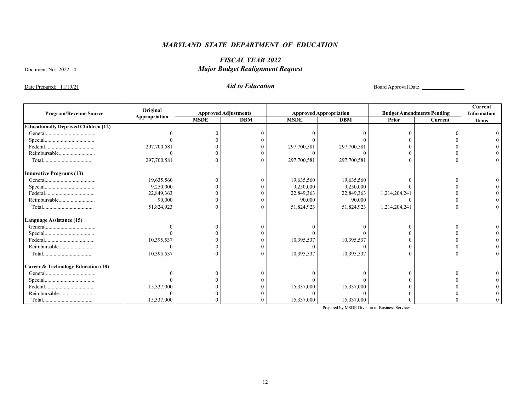# *FISCAL YEAR 2022*  Document No: 2022 - 4 *Major Budget Realignment Request*

Date Prepared: 11/19/21 *Aid to Education* Board Approval Date:

| <b>Program/Revenue Source</b>                 | Original<br>Appropriation |             | <b>Approved Adjustments</b> |             | <b>Approved Appropriation</b> |               | <b>Budget Amendments Pending</b> | Current<br><b>Information</b> |
|-----------------------------------------------|---------------------------|-------------|-----------------------------|-------------|-------------------------------|---------------|----------------------------------|-------------------------------|
|                                               |                           | <b>MSDE</b> | <b>DBM</b>                  | <b>MSDE</b> | <b>DBM</b>                    | Prior         | Current                          | <b>Items</b>                  |
| <b>Educationally Deprived Children (12)</b>   |                           |             |                             |             |                               |               |                                  |                               |
|                                               |                           |             |                             |             |                               |               |                                  |                               |
|                                               |                           |             |                             |             |                               |               |                                  |                               |
|                                               | 297,700,581               |             |                             | 297,700,581 | 297,700,581                   |               |                                  |                               |
| Reimbursable                                  |                           |             |                             |             |                               |               |                                  |                               |
|                                               | 297,700,581               |             |                             | 297,700,581 | 297,700,581                   |               |                                  |                               |
| <b>Innovative Programs (13)</b>               |                           |             |                             |             |                               |               |                                  |                               |
|                                               | 19,635,560                |             |                             | 19,635,560  | 19,635,560                    |               |                                  |                               |
|                                               | 9,250,000                 |             |                             | 9,250,000   | 9,250,000                     |               |                                  |                               |
|                                               | 22,849,363                |             |                             | 22,849,363  | 22,849,363                    | 1,214,204,241 |                                  |                               |
| Reimbursable                                  | 90,000                    |             |                             | 90,000      | 90,000                        |               |                                  |                               |
|                                               | 51,824,923                |             |                             | 51,824,923  | 51,824,923                    | 1,214,204,241 |                                  |                               |
| <b>Language Assistance (15)</b>               |                           |             |                             |             |                               |               |                                  |                               |
|                                               |                           |             |                             |             |                               |               |                                  |                               |
|                                               |                           |             |                             |             |                               |               |                                  |                               |
|                                               | 10,395,537                |             |                             | 10,395,537  | 10,395,537                    |               |                                  |                               |
| Reimbursable                                  |                           |             |                             |             |                               |               |                                  |                               |
|                                               | 10,395,537                |             |                             | 10,395,537  | 10,395,537                    |               |                                  |                               |
| <b>Career &amp; Technology Education (18)</b> |                           |             |                             |             |                               |               |                                  |                               |
|                                               |                           |             |                             |             |                               |               |                                  |                               |
|                                               |                           |             |                             |             |                               |               |                                  |                               |
|                                               | 15,337,000                |             |                             | 15,337,000  | 15,337,000                    |               |                                  |                               |
| Reimbursable                                  |                           |             |                             |             |                               |               |                                  |                               |
|                                               | 15,337,000                |             |                             | 15,337,000  | 15,337,000                    |               |                                  |                               |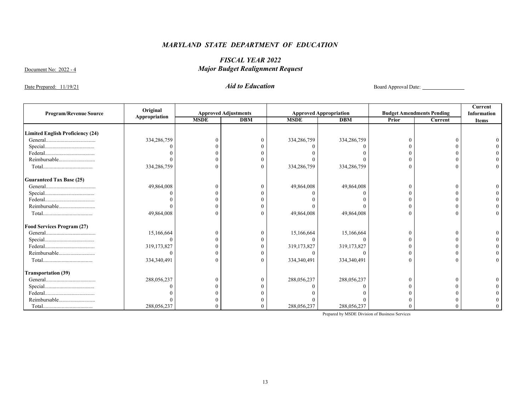# *FISCAL YEAR 2022*  Document No: 2022 - 4 *Major Budget Realignment Request*

Date Prepared: 11/19/21 *Aid to Education Aid to Education* Board Approval Date:

| <b>Program/Revenue Source</b>           | Original      | <b>Approved Adjustments</b> |            |             | <b>Approved Appropriation</b> |       | <b>Budget Amendments Pending</b> | Current<br><b>Information</b> |
|-----------------------------------------|---------------|-----------------------------|------------|-------------|-------------------------------|-------|----------------------------------|-------------------------------|
|                                         | Appropriation | <b>MSDE</b>                 | <b>DBM</b> | <b>MSDE</b> | <b>DBM</b>                    | Prior | Current                          | <b>Items</b>                  |
| <b>Limited English Proficiency (24)</b> |               |                             |            |             |                               |       |                                  |                               |
|                                         | 334,286,759   |                             |            | 334,286,759 | 334,286,759                   |       |                                  |                               |
|                                         |               |                             |            |             |                               |       |                                  |                               |
|                                         |               |                             |            |             |                               |       |                                  |                               |
| Reimbursable                            |               |                             |            |             |                               |       |                                  |                               |
|                                         | 334,286,759   |                             |            | 334,286,759 | 334,286,759                   |       |                                  |                               |
| <b>Guaranteed Tax Base (25)</b>         |               |                             |            |             |                               |       |                                  |                               |
|                                         | 49,864,008    |                             |            | 49,864,008  | 49,864,008                    |       |                                  |                               |
|                                         |               |                             |            |             |                               |       |                                  |                               |
|                                         |               |                             |            |             |                               |       |                                  |                               |
| Reimbursable                            |               |                             |            |             |                               |       |                                  |                               |
|                                         | 49,864,008    |                             |            | 49,864,008  | 49,864,008                    |       |                                  |                               |
| <b>Food Services Program (27)</b>       |               |                             |            |             |                               |       |                                  |                               |
|                                         | 15,166,664    |                             |            | 15,166,664  | 15,166,664                    |       |                                  |                               |
|                                         |               |                             |            |             |                               |       |                                  |                               |
|                                         | 319,173,827   |                             |            | 319,173,827 | 319,173,827                   |       |                                  |                               |
| Reimbursable                            |               |                             |            |             |                               |       |                                  |                               |
|                                         | 334,340,491   |                             |            | 334,340,491 | 334,340,491                   |       |                                  |                               |
| <b>Transportation (39)</b>              |               |                             |            |             |                               |       |                                  |                               |
|                                         | 288,056,237   |                             |            | 288,056,237 | 288,056,237                   |       |                                  |                               |
|                                         |               |                             |            |             |                               |       |                                  |                               |
|                                         |               |                             |            |             |                               |       |                                  |                               |
| Reimbursable                            |               |                             |            |             |                               |       |                                  |                               |
|                                         | 288,056,237   |                             |            | 288,056,237 | 288,056,237                   |       |                                  |                               |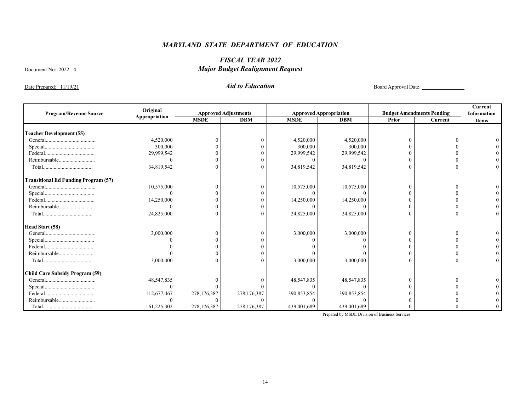# *FISCAL YEAR 2022*  Document No: 2022 - 4 *Major Budget Realignment Request*

Date Prepared: 11/19/21 *Aid to Education* Board Approval Date:

| <b>Program/Revenue Source</b>               | Original      | <b>Approved Adjustments</b> |             |             | <b>Approved Appropriation</b> |       | <b>Budget Amendments Pending</b> | <b>Current</b><br><b>Information</b> |
|---------------------------------------------|---------------|-----------------------------|-------------|-------------|-------------------------------|-------|----------------------------------|--------------------------------------|
|                                             | Appropriation | <b>MSDE</b>                 | <b>DBM</b>  | <b>MSDE</b> | <b>DBM</b>                    | Prior | Current                          | <b>Items</b>                         |
| <b>Teacher Development (55)</b>             |               |                             |             |             |                               |       |                                  |                                      |
|                                             | 4,520,000     |                             |             | 4,520,000   | 4,520,000                     |       |                                  |                                      |
|                                             | 300,000       |                             |             | 300,000     | 300,000                       |       |                                  |                                      |
|                                             | 29,999,542    |                             |             | 29,999,542  | 29,999,542                    |       |                                  |                                      |
| Reimbursable                                |               |                             |             |             |                               |       |                                  |                                      |
|                                             | 34,819,542    |                             |             | 34,819,542  | 34,819,542                    |       |                                  |                                      |
| <b>Transitional Ed Funding Program (57)</b> |               |                             |             |             |                               |       |                                  |                                      |
|                                             | 10,575,000    |                             |             | 10,575,000  | 10,575,000                    |       |                                  |                                      |
|                                             |               |                             |             |             |                               |       |                                  |                                      |
|                                             | 14,250,000    |                             |             | 14,250,000  | 14,250,000                    |       |                                  |                                      |
| Reimbursable                                |               |                             |             |             |                               |       |                                  |                                      |
|                                             | 24,825,000    |                             |             | 24,825,000  | 24,825,000                    |       |                                  |                                      |
| Head Start (58)                             |               |                             |             |             |                               |       |                                  |                                      |
|                                             | 3,000,000     |                             |             | 3,000,000   | 3,000,000                     |       |                                  |                                      |
|                                             |               |                             |             |             |                               |       |                                  |                                      |
|                                             |               |                             |             |             |                               |       |                                  |                                      |
| Reimbursable                                |               |                             |             |             |                               |       |                                  |                                      |
|                                             | 3,000,000     |                             |             | 3,000,000   | 3,000,000                     |       |                                  |                                      |
| <b>Child Care Subsidy Program (59)</b>      |               |                             |             |             |                               |       |                                  |                                      |
|                                             | 48,547,835    |                             |             | 48,547,835  | 48,547,835                    |       |                                  |                                      |
|                                             |               |                             |             |             |                               |       |                                  |                                      |
|                                             | 112,677,467   | 278,176,387                 | 278,176,387 | 390,853,854 | 390,853,854                   |       |                                  |                                      |
| Reimbursable                                |               |                             |             |             |                               |       |                                  |                                      |
|                                             | 161,225,302   | 278,176,387                 | 278,176,387 | 439,401,689 | 439,401,689                   |       |                                  |                                      |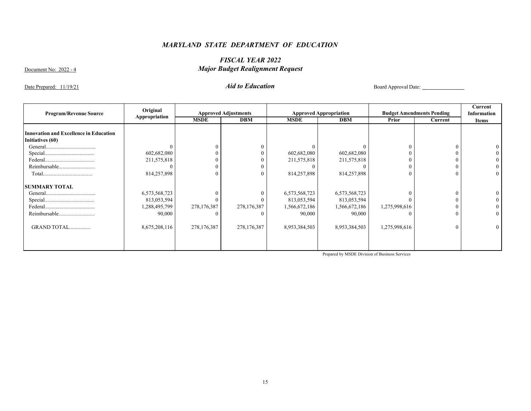# *FISCAL YEAR 2022*  Document No: 2022 - 4 *Major Budget Realignment Request*

Date Prepared: 11/19/21 *Aid to Education* Board Approval Date:

| <b>Program/Revenue Source</b>          | Original      |             | <b>Approved Adjustments</b> |               | <b>Approved Appropriation</b> |               | <b>Budget Amendments Pending</b> | Current<br><b>Information</b> |
|----------------------------------------|---------------|-------------|-----------------------------|---------------|-------------------------------|---------------|----------------------------------|-------------------------------|
|                                        | Appropriation | <b>MSDE</b> | <b>DBM</b>                  | <b>MSDE</b>   | <b>DBM</b>                    | Prior         | Current                          | <b>Items</b>                  |
|                                        |               |             |                             |               |                               |               |                                  |                               |
| Innovation and Excellence in Education |               |             |                             |               |                               |               |                                  |                               |
| Initiatives (60)                       |               |             |                             |               |                               |               |                                  |                               |
|                                        |               |             |                             |               |                               |               | $\theta$                         |                               |
|                                        | 602,682,080   |             |                             | 602,682,080   | 602,682,080                   |               |                                  |                               |
|                                        | 211,575,818   |             |                             | 211,575,818   | 211,575,818                   |               |                                  |                               |
|                                        |               |             |                             |               |                               |               | $\theta$                         |                               |
|                                        | 814,257,898   |             |                             | 814,257,898   | 814,257,898                   |               | $\Omega$                         | $\overline{0}$                |
| <b>SUMMARY TOTAL</b>                   |               |             |                             |               |                               |               |                                  |                               |
|                                        | 6,573,568,723 |             |                             | 6,573,568,723 | 6,573,568,723                 |               | $\Omega$                         |                               |
|                                        | 813,053,594   |             |                             | 813,053,594   | 813,053,594                   |               | $\Omega$                         |                               |
|                                        | 1,288,495,799 | 278,176,387 | 278,176,387                 | 1,566,672,186 | 1,566,672,186                 | 1,275,998,616 | $\Omega$                         |                               |
| Reimbursable                           | 90,000        |             |                             | 90,000        | 90,000                        |               | $\Omega$                         | $\theta$                      |
| GRAND TOTAL                            | 8,675,208,116 | 278,176,387 | 278,176,387                 | 8,953,384,503 | 8,953,384,503                 | 1,275,998,616 | $\Omega$                         | $\overline{0}$                |
|                                        |               |             |                             |               |                               |               |                                  |                               |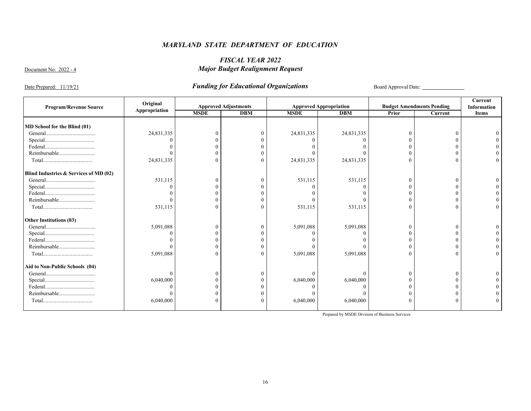# *FISCAL YEAR 2022*  Document No: 2022 - 4 *Major Budget Realignment Request*

Date Prepared: 11/19/21 *Funding for Educational Organizations* Board Approval Date:

|                                        | Original      |             |                             |             |                               |       |                                  | <b>Current</b>     |
|----------------------------------------|---------------|-------------|-----------------------------|-------------|-------------------------------|-------|----------------------------------|--------------------|
| <b>Program/Revenue Source</b>          | Appropriation |             | <b>Approved Adjustments</b> |             | <b>Approved Appropriation</b> |       | <b>Budget Amendments Pending</b> | <b>Information</b> |
|                                        |               | <b>MSDE</b> | DBM                         | <b>MSDE</b> | <b>DBM</b>                    | Prior | Current                          | Items              |
|                                        |               |             |                             |             |                               |       |                                  |                    |
| MD School for the Blind (01)           |               |             |                             |             |                               |       |                                  |                    |
|                                        | 24,831,335    |             |                             | 24,831,335  | 24,831,335                    |       |                                  |                    |
|                                        |               |             |                             |             |                               |       |                                  |                    |
|                                        |               |             |                             |             |                               |       |                                  |                    |
| Reimbursable                           |               |             |                             |             |                               |       |                                  |                    |
|                                        | 24,831,335    |             |                             | 24,831,335  | 24,831,335                    |       |                                  |                    |
| Blind Industries & Services of MD (02) |               |             |                             |             |                               |       |                                  |                    |
|                                        | 531,115       |             |                             | 531,115     | 531,115                       |       |                                  |                    |
|                                        |               |             |                             |             |                               |       |                                  |                    |
|                                        |               |             |                             |             |                               |       |                                  |                    |
| Reimbursable                           |               |             |                             |             |                               |       |                                  |                    |
|                                        | 531,115       |             |                             | 531,115     | 531,115                       |       |                                  |                    |
| Other Institutions (03)                |               |             |                             |             |                               |       |                                  |                    |
|                                        | 5,091,088     |             |                             | 5,091,088   | 5,091,088                     |       |                                  |                    |
|                                        |               |             |                             |             |                               |       |                                  |                    |
|                                        |               |             |                             |             |                               |       |                                  |                    |
| Reimbursable                           |               |             |                             |             |                               |       |                                  |                    |
|                                        | 5,091,088     |             |                             | 5,091,088   | 5,091,088                     |       |                                  |                    |
|                                        |               |             |                             |             |                               |       |                                  |                    |
| Aid to Non-Public Schools (04)         |               |             |                             |             |                               |       |                                  |                    |
|                                        |               |             |                             |             |                               |       |                                  |                    |
|                                        | 6,040,000     |             |                             | 6,040,000   | 6,040,000                     |       |                                  |                    |
|                                        |               |             |                             |             |                               |       |                                  |                    |
| Reimbursable                           |               |             |                             |             |                               |       |                                  |                    |
|                                        | 6,040,000     |             |                             | 6,040,000   | 6,040,000                     |       |                                  |                    |
|                                        |               |             |                             |             |                               |       |                                  |                    |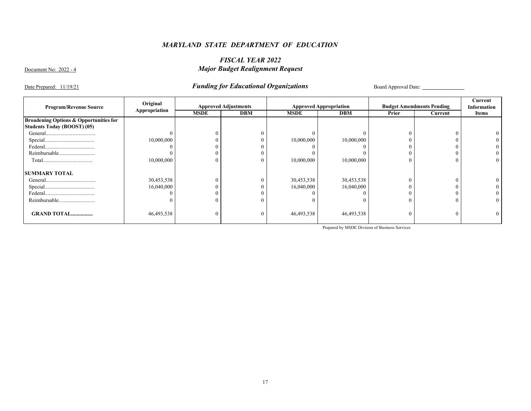# *FISCAL YEAR 2022*  Document No: 2022 - 4 *Major Budget Realignment Request*

Date Prepared: 11/19/21 *Funding for Educational Organizations* Board Approval Date:

| <b>Program/Revenue Source</b>                     | Original      | <b>Approved Adjustments</b> |            | <b>Approved Appropriation</b> |            | <b>Budget Amendments Pending</b> |          | Current<br><b>Information</b> |
|---------------------------------------------------|---------------|-----------------------------|------------|-------------------------------|------------|----------------------------------|----------|-------------------------------|
|                                                   | Appropriation | <b>MSDE</b>                 | <b>DBM</b> | <b>MSDE</b>                   | <b>DBM</b> | Prior                            | Current  | Items                         |
| <b>Broadening Options &amp; Opportunities for</b> |               |                             |            |                               |            |                                  |          |                               |
| <b>Students Today (BOOST) (05)</b>                |               |                             |            |                               |            |                                  |          |                               |
|                                                   |               |                             |            |                               |            |                                  |          |                               |
|                                                   | 10,000,000    |                             |            | 10,000,000                    | 10,000,000 |                                  |          |                               |
|                                                   |               |                             |            |                               |            |                                  |          |                               |
| Reimbursable                                      |               |                             |            |                               |            |                                  |          |                               |
|                                                   | 10,000,000    |                             |            | 10,000,000                    | 10,000,000 | $\Omega$                         | $\Omega$ | 0                             |
| <b>SUMMARY TOTAL</b>                              |               |                             |            |                               |            |                                  |          |                               |
|                                                   | 30,453,538    |                             |            | 30,453,538                    | 30,453,538 |                                  |          |                               |
|                                                   | 16,040,000    |                             |            | 16,040,000                    | 16,040,000 |                                  |          |                               |
|                                                   |               |                             |            |                               |            |                                  |          |                               |
| Reimbursable                                      |               | $\Omega$                    |            |                               |            | $\theta$                         | 0        |                               |
| <b>GRAND TOTAL</b>                                | 46,493,538    | $\theta$                    |            | 46,493,538                    | 46,493,538 | $\theta$                         | $\Omega$ |                               |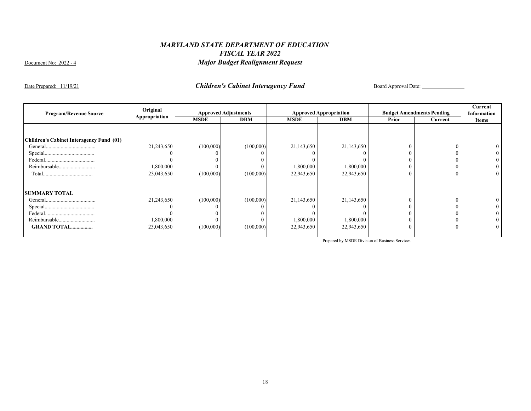Date Prepared: 11/19/21 **Children's Cabinet Interagency Fund** Board Approval Date:

|                                          | Original      |             |                             |             |                               |          |                                  | Current      |
|------------------------------------------|---------------|-------------|-----------------------------|-------------|-------------------------------|----------|----------------------------------|--------------|
| <b>Program/Revenue Source</b>            | Appropriation |             | <b>Approved Adjustments</b> |             | <b>Approved Appropriation</b> |          | <b>Budget Amendments Pending</b> | Information  |
|                                          |               | <b>MSDE</b> | <b>DBM</b>                  | <b>MSDE</b> | <b>DBM</b>                    | Prior    | Current                          | <b>Items</b> |
|                                          |               |             |                             |             |                               |          |                                  |              |
|                                          |               |             |                             |             |                               |          |                                  |              |
| Children's Cabinet Interagency Fund (01) |               |             |                             |             |                               |          |                                  |              |
|                                          | 21,243,650    | (100,000)   | (100,000)                   | 21,143,650  | 21,143,650                    |          |                                  |              |
|                                          |               |             |                             |             |                               |          | $\theta$                         |              |
|                                          |               |             |                             |             |                               |          | $\Omega$                         |              |
|                                          | 1,800,000     |             |                             | 1,800,000   | 1,800,000                     |          | $\Omega$                         |              |
|                                          | 23,043,650    | (100,000)   | (100,000)                   | 22,943,650  | 22,943,650                    | $\theta$ | $\theta$                         | 0            |
|                                          |               |             |                             |             |                               |          |                                  |              |
| <b>SUMMARY TOTAL</b>                     |               |             |                             |             |                               |          |                                  |              |
|                                          | 21,243,650    | (100,000)   | (100,000)                   | 21,143,650  | 21,143,650                    |          | $\theta$                         |              |
|                                          |               |             |                             |             |                               |          |                                  |              |
|                                          |               |             |                             |             |                               |          |                                  |              |
|                                          | 1,800,000     |             |                             | 1,800,000   | 1,800,000                     |          |                                  |              |
| <b>GRAND TOTAL</b>                       | 23,043,650    | (100,000)   | (100,000)                   | 22,943,650  | 22,943,650                    |          | $\Omega$                         |              |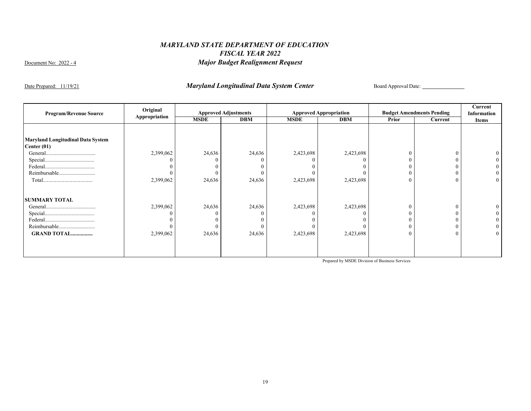Date Prepared: 11/19/21 *Maryland Longitudinal Data System Center* Board Approval Date:

| <b>Program/Revenue Source</b>                             | Original<br>Appropriation |             | <b>Approved Adjustments</b> |             | <b>Approved Appropriation</b> | <b>Budget Amendments Pending</b> |         | Current<br>Information |
|-----------------------------------------------------------|---------------------------|-------------|-----------------------------|-------------|-------------------------------|----------------------------------|---------|------------------------|
|                                                           |                           | <b>MSDE</b> | <b>DBM</b>                  | <b>MSDE</b> | <b>DBM</b>                    | <b>Prior</b>                     | Current | <b>Items</b>           |
|                                                           |                           |             |                             |             |                               |                                  |         |                        |
| <b>Maryland Longitudinal Data System</b><br>Center $(01)$ |                           |             |                             |             |                               |                                  |         |                        |
|                                                           | 2,399,062                 | 24,636      | 24,636                      | 2,423,698   | 2,423,698                     | $\theta$                         |         |                        |
|                                                           |                           |             |                             |             |                               | $\theta$                         |         |                        |
|                                                           |                           |             |                             |             |                               | $\Omega$                         |         |                        |
| Reimbursable                                              |                           |             |                             |             |                               | $\theta$                         |         |                        |
|                                                           | 2,399,062                 | 24,636      | 24,636                      | 2,423,698   | 2,423,698                     | $\mathbf{0}$                     |         |                        |
| <b>SUMMARY TOTAL</b>                                      |                           |             |                             |             |                               |                                  |         |                        |
|                                                           | 2,399,062                 | 24,636      | 24,636                      | 2,423,698   | 2,423,698                     | $\theta$                         |         |                        |
|                                                           |                           |             |                             |             |                               |                                  |         |                        |
|                                                           |                           |             |                             |             |                               |                                  |         |                        |
| Reimbursable                                              |                           |             |                             |             |                               | $\mathbf{0}$                     |         |                        |
| <b>GRAND TOTAL</b>                                        | 2,399,062                 | 24,636      | 24,636                      | 2,423,698   | 2,423,698                     | $\mathbf{0}$                     |         |                        |
|                                                           |                           |             |                             |             |                               |                                  |         |                        |
|                                                           |                           |             |                             |             |                               |                                  |         |                        |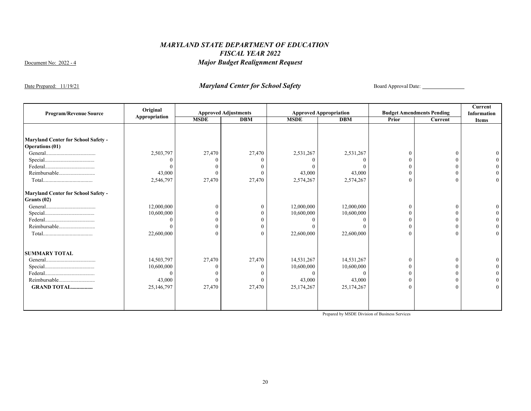Date Prepared: 11/19/21 *Maryland Center for School Safety* Board Approval Date:

| <b>Program/Revenue Source</b>                                        | Original      |             | <b>Approved Adjustments</b> |             | <b>Approved Appropriation</b> |       | <b>Budget Amendments Pending</b> | Current<br><b>Information</b> |
|----------------------------------------------------------------------|---------------|-------------|-----------------------------|-------------|-------------------------------|-------|----------------------------------|-------------------------------|
|                                                                      | Appropriation | <b>MSDE</b> | <b>DBM</b>                  | <b>MSDE</b> | <b>DBM</b>                    | Prior | Current                          | <b>Items</b>                  |
|                                                                      |               |             |                             |             |                               |       |                                  |                               |
| <b>Maryland Center for School Safety -</b><br><b>Operations</b> (01) |               |             |                             |             |                               |       |                                  |                               |
|                                                                      | 2,503,797     | 27,470      | 27,470                      | 2,531,267   | 2,531,267                     |       | $\Omega$                         |                               |
|                                                                      |               |             |                             |             |                               |       |                                  |                               |
|                                                                      |               |             |                             |             |                               |       |                                  |                               |
| Reimbursable                                                         | 43,000        |             |                             | 43,000      | 43,000                        |       |                                  |                               |
|                                                                      | 2,546,797     | 27,470      | 27,470                      | 2,574,267   | 2,574,267                     |       |                                  |                               |
| <b>Maryland Center for School Safety -</b>                           |               |             |                             |             |                               |       |                                  |                               |
| Grants (02)                                                          |               |             |                             |             |                               |       |                                  |                               |
|                                                                      | 12,000,000    |             |                             | 12,000,000  | 12,000,000                    |       | $\Omega$                         |                               |
|                                                                      | 10,600,000    |             |                             | 10,600,000  | 10,600,000                    |       |                                  |                               |
|                                                                      |               |             |                             |             |                               |       |                                  |                               |
| Reimbursable                                                         |               |             |                             |             |                               |       |                                  |                               |
|                                                                      | 22,600,000    |             |                             | 22,600,000  | 22,600,000                    |       |                                  |                               |
| <b>SUMMARY TOTAL</b>                                                 |               |             |                             |             |                               |       |                                  |                               |
|                                                                      | 14,503,797    | 27,470      | 27,470                      | 14,531,267  | 14,531,267                    |       |                                  |                               |
|                                                                      | 10,600,000    |             |                             | 10,600,000  | 10,600,000                    |       |                                  |                               |
|                                                                      |               |             |                             |             |                               |       |                                  |                               |
|                                                                      | 43,000        |             |                             | 43,000      | 43,000                        |       |                                  |                               |
| <b>GRAND TOTAL</b>                                                   | 25,146,797    | 27,470      | 27,470                      | 25,174,267  | 25,174,267                    |       | $\Omega$                         |                               |
|                                                                      |               |             |                             |             |                               |       |                                  |                               |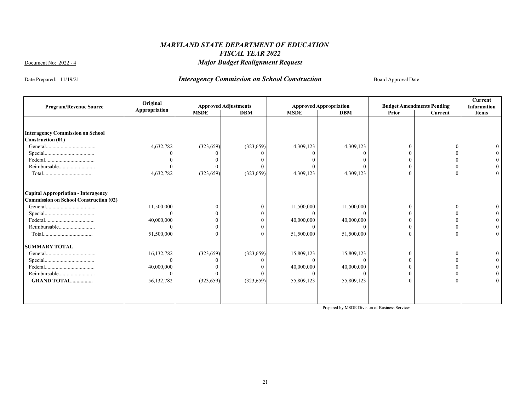Date Prepared: 11/19/21 **Interagency Commission on School Construction** Board Approval Date:

| <b>Program/Revenue Source</b>                 | Original      |             | <b>Approved Adjustments</b> |             | <b>Approved Appropriation</b> |          | <b>Budget Amendments Pending</b> | <b>Current</b><br><b>Information</b> |
|-----------------------------------------------|---------------|-------------|-----------------------------|-------------|-------------------------------|----------|----------------------------------|--------------------------------------|
|                                               | Appropriation | <b>MSDE</b> | <b>DBM</b>                  | <b>MSDE</b> | <b>DBM</b>                    | Prior    | Current                          | <b>Items</b>                         |
|                                               |               |             |                             |             |                               |          |                                  |                                      |
|                                               |               |             |                             |             |                               |          |                                  |                                      |
| <b>Interagency Commission on School</b>       |               |             |                             |             |                               |          |                                  |                                      |
| <b>Construction (01)</b>                      |               |             |                             |             |                               |          |                                  |                                      |
|                                               | 4,632,782     | (323, 659)  | (323, 659)                  | 4,309,123   | 4,309,123                     |          |                                  |                                      |
|                                               |               |             |                             |             |                               |          |                                  |                                      |
|                                               |               |             |                             |             |                               |          |                                  |                                      |
| Reimbursable                                  |               |             |                             |             |                               |          |                                  |                                      |
|                                               | 4,632,782     | (323, 659)  | (323, 659)                  | 4,309,123   | 4,309,123                     | $\Omega$ |                                  |                                      |
| Capital Appropriation - Interagency           |               |             |                             |             |                               |          |                                  |                                      |
| <b>Commission on School Construction (02)</b> |               |             |                             |             |                               |          |                                  |                                      |
|                                               | 11,500,000    | 0           |                             | 11,500,000  | 11,500,000                    | $\Omega$ |                                  |                                      |
|                                               | $\Omega$      |             |                             | $\Omega$    |                               |          |                                  |                                      |
|                                               | 40,000,000    |             |                             | 40,000,000  | 40,000,000                    |          |                                  |                                      |
| Reimbursable                                  |               |             |                             |             |                               |          |                                  |                                      |
|                                               | 51,500,000    | $\Omega$    | 0                           | 51,500,000  | 51,500,000                    | $\theta$ |                                  |                                      |
| <b>SUMMARY TOTAL</b>                          |               |             |                             |             |                               |          |                                  |                                      |
|                                               | 16,132,782    | (323, 659)  | (323, 659)                  | 15,809,123  | 15,809,123                    | $\theta$ |                                  |                                      |
|                                               | $\Omega$      |             |                             |             |                               |          |                                  |                                      |
|                                               | 40,000,000    |             |                             | 40,000,000  | 40,000,000                    |          |                                  |                                      |
| Reimbursable                                  | $\Omega$      |             |                             | $\Omega$    |                               |          |                                  |                                      |
| <b>GRAND TOTAL</b>                            | 56,132,782    | (323, 659)  | (323, 659)                  | 55,809,123  | 55,809,123                    | 0        |                                  |                                      |
|                                               |               |             |                             |             |                               |          |                                  |                                      |
|                                               |               |             |                             |             |                               |          |                                  |                                      |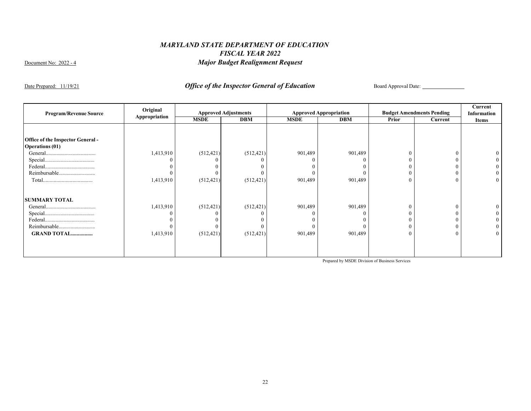Date Prepared: 11/19/21 *Office of the Inspector General of Education* Board Approval Date:

| <b>Program/Revenue Source</b>            | Original      |             | <b>Approved Adjustments</b> |             | <b>Approved Appropriation</b> | <b>Budget Amendments Pending</b> |         | Current<br>Information |
|------------------------------------------|---------------|-------------|-----------------------------|-------------|-------------------------------|----------------------------------|---------|------------------------|
|                                          | Appropriation | <b>MSDE</b> | <b>DBM</b>                  | <b>MSDE</b> | <b>DBM</b>                    | Prior                            | Current | <b>Items</b>           |
|                                          |               |             |                             |             |                               |                                  |         |                        |
| <b>Office of the Inspector General -</b> |               |             |                             |             |                               |                                  |         |                        |
| <b>Operations (01)</b>                   |               |             |                             |             |                               |                                  |         |                        |
|                                          | 1,413,910     | (512, 421)  | (512, 421)                  | 901,489     | 901,489                       | $\Omega$                         |         |                        |
|                                          |               |             |                             |             |                               | 0                                |         |                        |
|                                          |               |             |                             |             |                               | 0                                |         |                        |
| Reimbursable                             |               |             |                             |             |                               | $\theta$                         |         |                        |
|                                          | 1,413,910     | (512, 421)  | (512, 421)                  | 901,489     | 901,489                       | $\overline{0}$                   |         |                        |
| <b>SUMMARY TOTAL</b>                     |               |             |                             |             |                               |                                  |         |                        |
|                                          | 1,413,910     | (512, 421)  | (512, 421)                  | 901,489     | 901,489                       | $\theta$                         |         |                        |
|                                          | -0            |             |                             |             |                               | $\theta$                         |         |                        |
|                                          |               |             |                             |             |                               | $\theta$                         |         |                        |
| Reimbursable                             |               |             |                             |             |                               | $\theta$                         |         |                        |
| <b>GRAND TOTAL</b>                       | 1,413,910     | (512, 421)  | (512, 421)                  | 901,489     | 901,489                       | $\overline{0}$                   |         |                        |
|                                          |               |             |                             |             |                               |                                  |         |                        |
|                                          |               |             |                             |             |                               |                                  |         |                        |